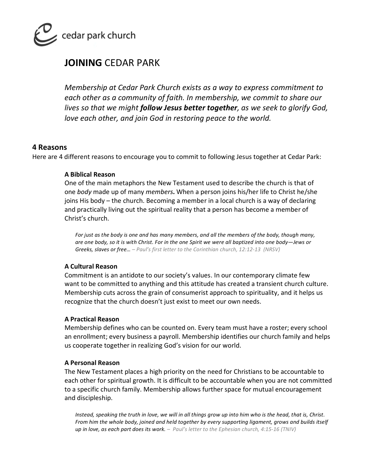

# **JOINING CEDAR PARK**

Membership at Cedar Park Church exists as a way to express commitment to each other as a community of faith. In membership, we commit to share our lives so that we might follow Jesus better together, as we seek to glorify God, love each other, and join God in restoring peace to the world.

#### 4 Reasons

Here are 4 different reasons to encourage you to commit to following Jesus together at Cedar Park:

#### **A Biblical Reason**

One of the main metaphors the New Testament used to describe the church is that of one body made up of many members. When a person joins his/her life to Christ he/she joins His body – the church. Becoming a member in a local church is a way of declaring and practically living out the spiritual reality that a person has become a member of Christ's church.

For just as the body is one and has many members, and all the members of the body, though many, are one body, so it is with Christ. For in the one Spirit we were all baptized into one body-Jews or Greeks, slaves or free... - Paul's first letter to the Corinthian church, 12:12-13 (NRSV)

#### **A Cultural Reason**

Commitment is an antidote to our society's values. In our contemporary climate few want to be committed to anything and this attitude has created a transient church culture. Membership cuts across the grain of consumerist approach to spirituality, and it helps us recognize that the church doesn't just exist to meet our own needs.

#### **A Practical Reason**

Membership defines who can be counted on. Every team must have a roster; every school an enrollment; every business a payroll. Membership identifies our church family and helps us cooperate together in realizing God's vision for our world.

#### **A Personal Reason**

The New Testament places a high priority on the need for Christians to be accountable to each other for spiritual growth. It is difficult to be accountable when you are not committed to a specific church family. Membership allows further space for mutual encouragement and discipleship.

Instead, speaking the truth in love, we will in all things grow up into him who is the head, that is, Christ. From him the whole body, joined and held together by every supporting ligament, grows and builds itself up in love, as each part does its work.  $-$  Paul's letter to the Ephesian church, 4:15-16 (TNIV)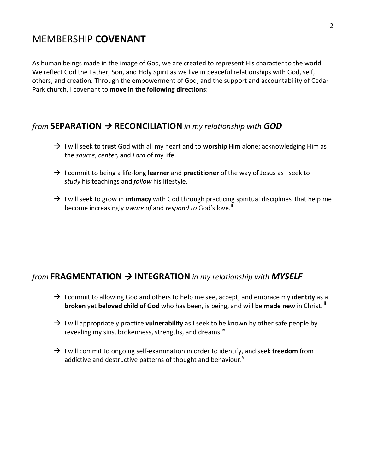## MEMBERSHIP COVENANT

As human beings made in the image of God, we are created to represent His character to the world. We reflect God the Father, Son, and Holy Spirit as we live in peaceful relationships with God, self, others, and creation. Through the empowerment of God, and the support and accountability of Cedar Park church, I covenant to move in the following directions:

## from SEPARATION  $\rightarrow$  RECONCILIATION in my relationship with GOD

- $\rightarrow$  1 will seek to trust God with all my heart and to worship Him alone; acknowledging Him as the source, center, and Lord of my life.
- $\rightarrow$  1 commit to being a life-long learner and practitioner of the way of Jesus as I seek to study his teachings and follow his lifestyle.
- $\rightarrow$  1 will seek to grow in **intimacy** with God through practicing spiritual disciplines<sup>i</sup> that help me become increasingly aware of and respond to God's love.<sup>ii</sup>

## from FRAGMENTATION  $\rightarrow$  INTEGRATION in my relationship with MYSELF

- $\rightarrow$  1 commit to allowing God and others to help me see, accept, and embrace my **identity** as a broken yet beloved child of God who has been, is being, and will be made new in Christ."
- $\rightarrow$  1 will appropriately practice vulnerability as I seek to be known by other safe people by revealing my sins, brokenness, strengths, and dreams.<sup>iv</sup>
- $\rightarrow$  1 will commit to ongoing self-examination in order to identify, and seek freedom from addictive and destructive patterns of thought and behaviour.<sup>v</sup>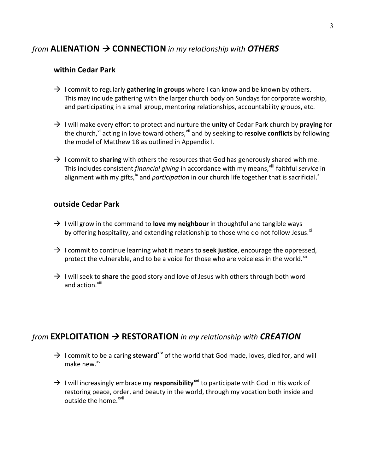## from ALIENATION  $\rightarrow$  CONNECTION in my relationship with OTHERS

#### within Cedar Park

- $\rightarrow$  1 commit to regularly gathering in groups where I can know and be known by others. This may include gathering with the larger church body on Sundays for corporate worship, and participating in a small group, mentoring relationships, accountability groups, etc.
- $\rightarrow$  I will make every effort to protect and nurture the unity of Cedar Park church by praying for the church, vi acting in love toward others, vii and by seeking to resolve conflicts by following the model of Matthew 18 as outlined in Appendix I.
- $\rightarrow$  1 commit to sharing with others the resources that God has generously shared with me. This includes consistent *financial giving* in accordance with my means, <sup>viii</sup> faithful service in alignment with my gifts,<sup>ix</sup> and *participation* in our church life together that is sacrificial.<sup>x</sup>

#### outside Cedar Park

- $\rightarrow$  1 will grow in the command to **love my neighbour** in thoughtful and tangible ways by offering hospitality, and extending relationship to those who do not follow Jesus.<sup>xi</sup>
- $\rightarrow$  1 commit to continue learning what it means to seek justice, encourage the oppressed, protect the vulnerable, and to be a voice for those who are voiceless in the world.<sup>xii</sup>
- $\rightarrow$  1 will seek to share the good story and love of Jesus with others through both word and action.<sup>xiii</sup>

### from EXPLOITATION  $\rightarrow$  RESTORATION in my relationship with CREATION

- $\rightarrow$  1 commit to be a caring steward<sup>xiv</sup> of the world that God made, loves, died for, and will make new.<sup>xv</sup>
- $\rightarrow$  1 will increasingly embrace my responsibility<sup>xvi</sup> to participate with God in His work of restoring peace, order, and beauty in the world, through my vocation both inside and outside the home.<sup>xvii</sup>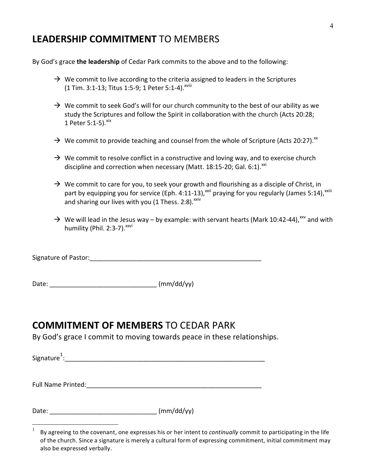# LEADERSHIP COMMITMENT TO MEMBERS

By God's grace **the leadership** of Cedar Park commits to the above and to the following:

- $\rightarrow$  We commit to live according to the criteria assigned to leaders in the Scriptures (1 Tim. 3:1-13; Titus 1:5-9; 1 Peter 5:1-4).<sup>xviii</sup>
- $\rightarrow$  We commit to seek God's will for our church community to the best of our ability as we study the Scriptures and follow the Spirit in collaboration with the church (Acts 20:28; 1 Peter 5:1-5). $x$ ix
- $\rightarrow$  We commit to provide teaching and counsel from the whole of Scripture (Acts 20:27).<sup>xx</sup>
- $\rightarrow$  We commit to resolve conflict in a constructive and loving way, and to exercise church discipline and correction when necessary (Matt. 18:15-20; Gal. 6:1). $^{xxi}$
- $\rightarrow$  We commit to care for you, to seek your growth and flourishing as a disciple of Christ, in part by equipping you for service (Eph. 4:11-13),<sup>xxii</sup> praying for you regularly (James 5:14),<sup>xxiii</sup> and sharing our lives with you (1 Thess. 2:8).<sup> $xiv$ </sup>
- $\rightarrow$  We will lead in the Jesus way by example: with servant hearts (Mark 10:42-44),  $x/v$  and with humility (Phil. 2:3-7).<sup>xxvi</sup>

Signature!of!Pastor:\_\_\_\_\_\_\_\_\_\_\_\_\_\_\_\_\_\_\_\_\_\_\_\_\_\_\_\_\_\_\_\_\_\_\_\_\_\_\_\_\_\_\_\_\_\_\_\_

 $Date:$   $(mm/dd/vv)$ 

# **COMMITMENT OF MEMBERS**!TO!CEDAR!PARK!

By God's grace I commit to moving towards peace in these relationships.

Signature<sup>1</sup> :\_\_\_\_\_\_\_\_\_\_\_\_\_\_\_\_\_\_\_\_\_\_\_\_\_\_\_\_\_\_\_\_\_\_\_\_\_\_\_\_\_\_\_\_\_\_\_\_\_\_\_\_\_\_\_\_

Full Name Printed: The same state of the same state of the same state of the same state of the same state of the same state of the same state of the same state of the same state of the same state of the same state of the s

Date:!\_\_\_\_\_\_\_\_\_\_\_\_\_\_\_\_\_\_\_\_\_\_\_\_\_\_\_\_\_\_!(mm/dd/yy)

By agreeing to the covenant, one expresses his or her intent to *continually* commit to participating in the life of the church. Since a signature is merely a cultural form of expressing commitment, initial commitment may also be expressed verbally.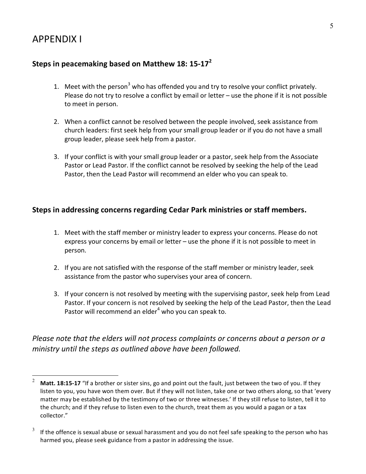## APPENDIX!I

## Steps in peacemaking based on Matthew 18: 15-17<sup>2</sup>

- 1. Meet with the person<sup>3</sup> who has offended you and try to resolve your conflict privately. Please do not try to resolve a conflict by email or letter – use the phone if it is not possible to meet in person.
- 2. When a conflict cannot be resolved between the people involved, seek assistance from church leaders: first seek help from your small group leader or if you do not have a small group leader, please seek help from a pastor.
- 3. If your conflict is with your small group leader or a pastor, seek help from the Associate Pastor or Lead Pastor. If the conflict cannot be resolved by seeking the help of the Lead Pastor, then the Lead Pastor will recommend an elder who you can speak to.

### Steps in addressing concerns regarding Cedar Park ministries or staff members.

- 1. Meet with the staff member or ministry leader to express your concerns. Please do not express your concerns by email or letter – use the phone if it is not possible to meet in person.
- 2. If you are not satisfied with the response of the staff member or ministry leader, seek assistance from the pastor who supervises your area of concern.
- 3. If your concern is not resolved by meeting with the supervising pastor, seek help from Lead Pastor. If your concern is not resolved by seeking the help of the Lead Pastor, then the Lead Pastor will recommend an elder<sup>4</sup> who you can speak to.

Please note that the elders will not process complaints or concerns about a person or a *ministry\*until\*the\*steps\*as\*outlined\*above\*have\*been\*followed.\**

<sup>&</sup>lt;sup>2</sup> **Matt. 18:15-17** "If a brother or sister sins, go and point out the fault, just between the two of you. If they listen to you, you have won them over. But if they will not listen, take one or two others along, so that 'every matter may be established by the testimony of two or three witnesses.' If they still refuse to listen, tell it to the church; and if they refuse to listen even to the church, treat them as you would a pagan or a tax collector."

 $3$  If the offence is sexual abuse or sexual harassment and you do not feel safe speaking to the person who has harmed you, please seek guidance from a pastor in addressing the issue.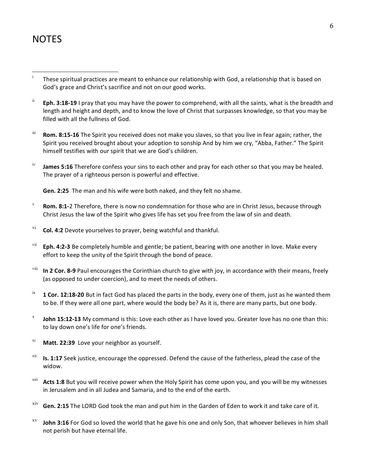# **NOTES**

- $\mathbf{i}$ These spiritual practices are meant to enhance our relationship with God, a relationship that is based on God's grace and Christ's sacrifice and not on our good works.
- $\ddot{\mathbf{i}}$ Eph. 3:18-19 I pray that you may have the power to comprehend, with all the saints, what is the breadth and length and height and depth, and to know the love of Christ that surpasses knowledge, so that you may be filled with all the fullness of God.
- iii Rom. 8:15-16 The Spirit you received does not make you slaves, so that you live in fear again; rather, the Spirit you received brought about your adoption to sonship And by him we cry, "Abba, Father." The Spirit himself testifies with our spirit that we are God's children.
- $iv$ James 5:16 Therefore confess your sins to each other and pray for each other so that you may be healed. The prayer of a righteous person is powerful and effective.

Gen. 2:25 The man and his wife were both naked, and they felt no shame.

- Rom. 8:1-2 Therefore, there is now no condemnation for those who are in Christ Jesus, because through Christ Jesus the law of the Spirit who gives life has set you free from the law of sin and death.
- vi Col. 4:2 Devote yourselves to prayer, being watchful and thankful.
- vii Eph. 4:2-3 Be completely humble and gentle; be patient, bearing with one another in love. Make every effort to keep the unity of the Spirit through the bond of peace.
- viii In 2 Cor. 8-9 Paul encourages the Corinthian church to give with joy, in accordance with their means, freely (as opposed to under coercion), and to meet the needs of others.
- $ix$ 1 Cor. 12:18-20 But in fact God has placed the parts in the body, every one of them, just as he wanted them to be. If they were all one part, where would the body be? As it is, there are many parts, but one body.
- $\mathbf X$ John 15:12-13 My command is this: Love each other as I have loved you. Greater love has no one than this: to lay down one's life for one's friends.
- xi Matt. 22:39 Love your neighbor as yourself.
- xii Is. 1:17 Seek justice, encourage the oppressed. Defend the cause of the fatherless, plead the case of the widow.
- xiii Acts 1:8 But you will receive power when the Holy Spirit has come upon you, and you will be my witnesses in Jerusalem and in all Judea and Samaria, and to the end of the earth.
- xiv Gen. 2:15 The LORD God took the man and put him in the Garden of Eden to work it and take care of it.
- XV John 3:16 For God so loved the world that he gave his one and only Son, that whoever believes in him shall not perish but have eternal life.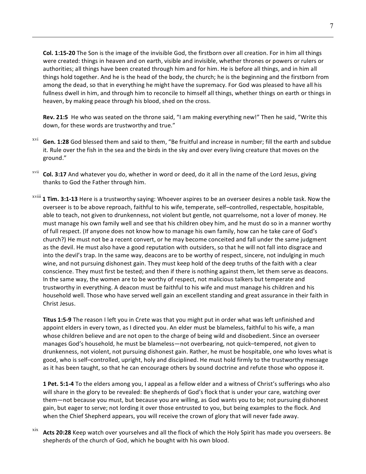**Col. 1:15-20** The Son is the image of the invisible God, the firstborn over all creation. For in him all things were created: things in heaven and on earth, visible and invisible, whether thrones or powers or rulers or authorities; all things have been created through him and for him. He is before all things, and in him all things hold together. And he is the head of the body, the church; he is the beginning and the firstborn from among the dead, so that in everything he might have the supremacy. For God was pleased to have all his fullness dwell in him, and through him to reconcile to himself all things, whether things on earth or things in heaven, by making peace through his blood, shed on the cross.

 $\overline{a}$ 

Rev. 21:5 He who was seated on the throne said, "I am making everything new!" Then he said, "Write this down, for these words are trustworthy and true."

- <sup>XVI</sup> **Gen. 1:28** God blessed them and said to them, "Be fruitful and increase in number; fill the earth and subdue it. Rule over the fish in the sea and the birds in the sky and over every living creature that moves on the ground."
- <sup>xvii</sup> **Col. 3:17** And whatever you do, whether in word or deed, do it all in the name of the Lord Jesus, giving thanks to God the Father through him.
- <sup>xviii</sup> 1 Tim. 3:1-13 Here is a trustworthy saying: Whoever aspires to be an overseer desires a noble task. Now the overseer is to be above reproach, faithful to his wife, temperate, self-controlled, respectable, hospitable, able to teach, not given to drunkenness, not violent but gentle, not quarrelsome, not a lover of money. He must manage his own family well and see that his children obey him, and he must do so in a manner worthy of full respect. (If anyone does not know how to manage his own family, how can he take care of God's church?) He must not be a recent convert, or he may become conceited and fall under the same judgment as the devil. He must also have a good reputation with outsiders, so that he will not fall into disgrace and into the devil's trap. In the same way, deacons are to be worthy of respect, sincere, not indulging in much wine, and not pursuing dishonest gain. They must keep hold of the deep truths of the faith with a clear conscience. They must first be tested; and then if there is nothing against them, let them serve as deacons. In the same way, the women are to be worthy of respect, not malicious talkers but temperate and trustworthy in everything. A deacon must be faithful to his wife and must manage his children and his household well. Those who have served well gain an excellent standing and great assurance in their faith in Christ Jesus.

**Titus 1:5-9** The reason I left you in Crete was that you might put in order what was left unfinished and appoint elders in every town, as I directed you. An elder must be blameless, faithful to his wife, a man whose children believe and are not open to the charge of being wild and disobedient. Since an overseer manages God's household, he must be blameless—not overbearing, not quick–tempered, not given to drunkenness, not violent, not pursuing dishonest gain. Rather, he must be hospitable, one who loves what is good, who is self–controlled, upright, holy and disciplined. He must hold firmly to the trustworthy message as it has been taught, so that he can encourage others by sound doctrine and refute those who oppose it.

**1 Pet. 5:1-4** To the elders among you, I appeal as a fellow elder and a witness of Christ's sufferings who also will share in the glory to be revealed: Be shepherds of God's flock that is under your care, watching over them—not because you must, but because you are willing, as God wants you to be; not pursuing dishonest gain, but eager to serve; not lording it over those entrusted to you, but being examples to the flock. And when the Chief Shepherd appears, you will receive the crown of glory that will never fade away.

<sup>xix</sup> **Acts 20:28** Keep watch over yourselves and all the flock of which the Holy Spirit has made you overseers. Be shepherds of the church of God, which he bought with his own blood.